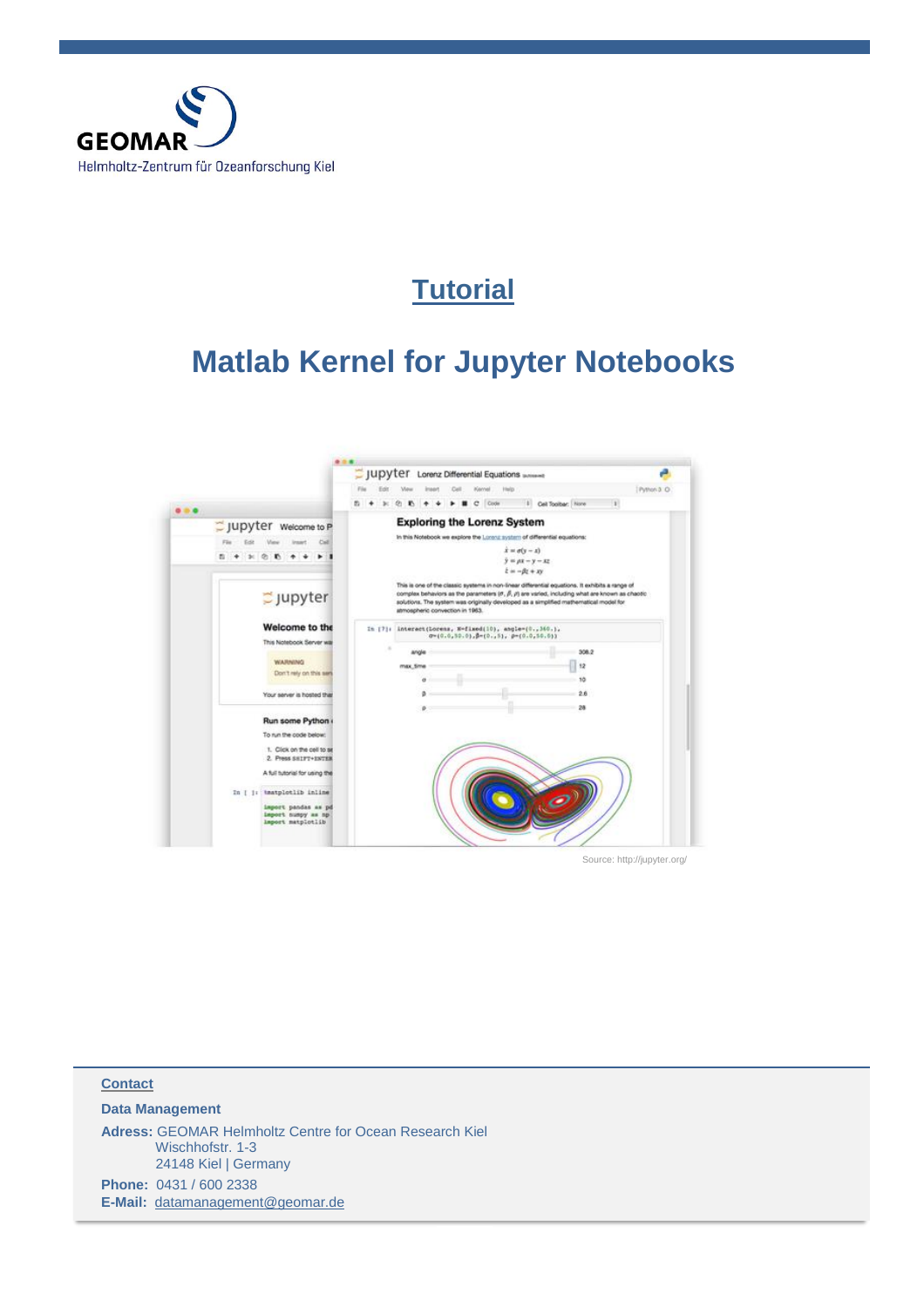

## **Tutorial**

# **Matlab Kernel for Jupyter Notebooks**



Source: http://jupyter.org/

| <b>Contact</b>         |                                                                                                            |  |  |
|------------------------|------------------------------------------------------------------------------------------------------------|--|--|
| <b>Data Management</b> |                                                                                                            |  |  |
|                        | <b>Adress: GEOMAR Helmholtz Centre for Ocean Research Kiel</b><br>Wischhofstr. 1-3<br>24148 Kiel   Germany |  |  |
|                        | Phone: 0431 / 600 2338                                                                                     |  |  |
|                        | E-Mail: datamanagement@geomar.de                                                                           |  |  |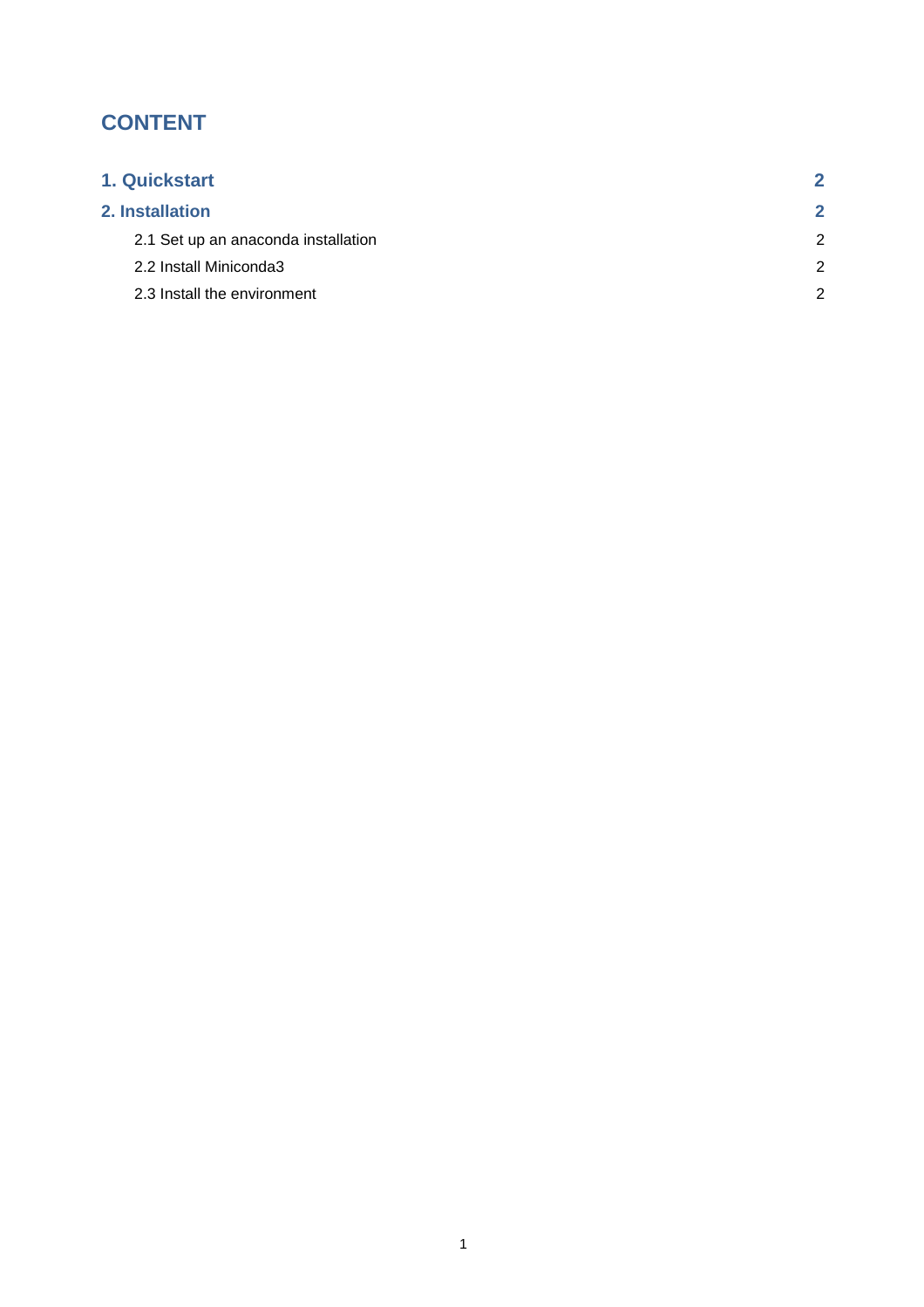## **CONTENT**

| 1. Quickstart                       |   |
|-------------------------------------|---|
| 2. Installation                     | 2 |
| 2.1 Set up an anaconda installation | 2 |
| 2.2 Install Miniconda3              | 2 |
| 2.3 Install the environment         | 2 |
|                                     |   |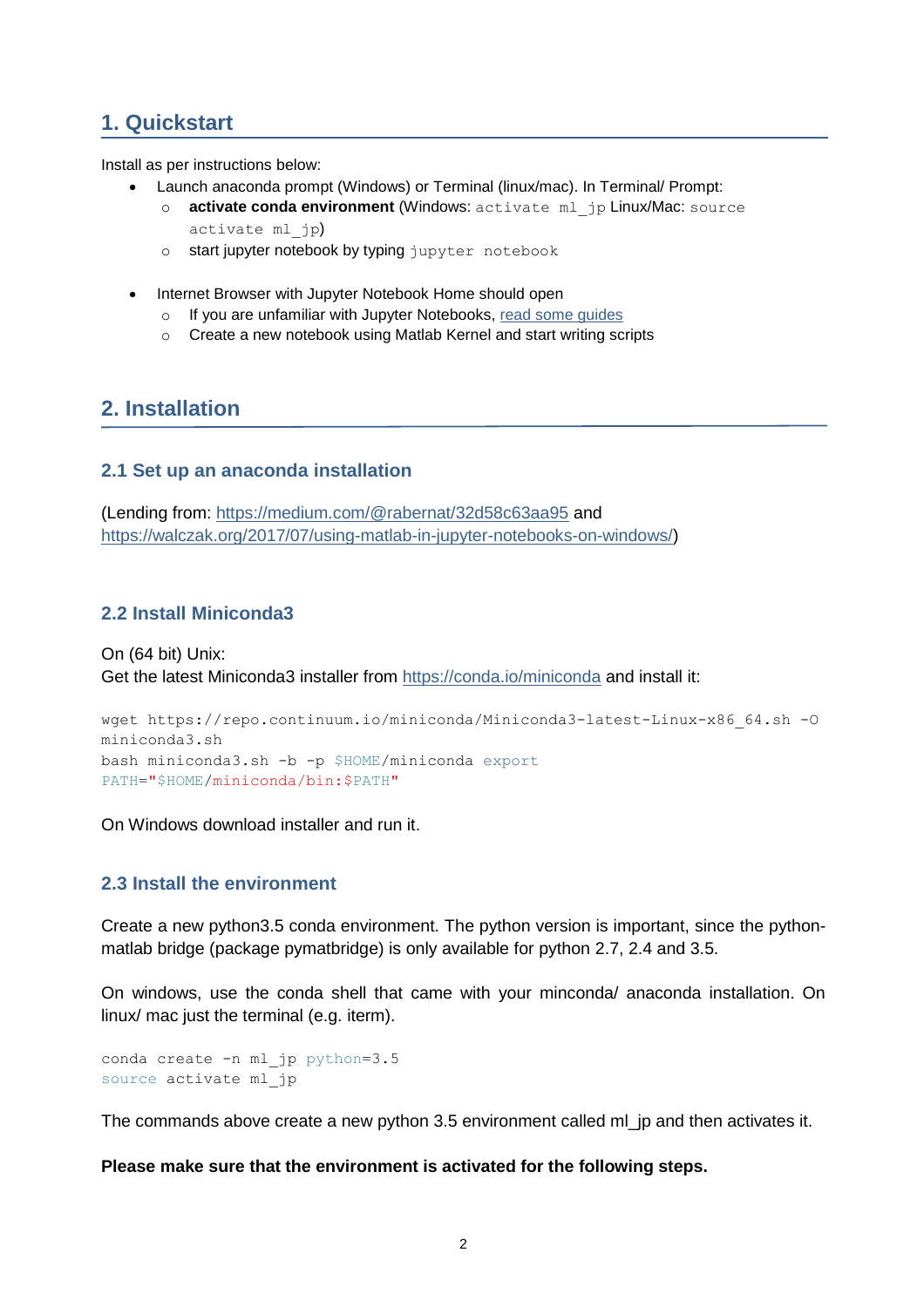## **1. Quickstart**

Install as per instructions below:

- Launch anaconda prompt (Windows) or Terminal (linux/mac). In Terminal/ Prompt:
	- o **activate conda environment** (Windows: activate ml\_jp Linux/Mac: source activate ml\_jp)
	- o start jupyter notebook by typing jupyter notebook
- Internet Browser with Jupyter Notebook Home should open
	- o If you are unfamiliar with Jupyter Notebooks, read some [guides](http://jupyter-notebook-beginner-guide.readthedocs.io/en/latest/what_is_jupyter.html)
	- o Create a new notebook using Matlab Kernel and start writing scripts

### **2. Installation**

#### **2.1 Set up an anaconda installation**

(Lending from: <https://medium.com/@rabernat/32d58c63aa95> and [https://walczak.org/2017/07/using-matlab-in-jupyter-notebooks-on-windows/\)](https://walczak.org/2017/07/using-matlab-in-jupyter-notebooks-on-windows/)

### **2.2 Install Miniconda3**

On (64 bit) Unix: Get the latest Miniconda3 installer from <https://conda.io/miniconda> and install it:

```
wget https://repo.continuum.io/miniconda/Miniconda3-latest-Linux-x86_64.sh -O
miniconda3.sh
bash miniconda3.sh -b -p $HOME/miniconda export
PATH="$HOME/miniconda/bin:$PATH"
```
On Windows download installer and run it.

#### **2.3 Install the environment**

Create a new python3.5 conda environment. The python version is important, since the pythonmatlab bridge (package pymatbridge) is only available for python 2.7, 2.4 and 3.5.

On windows, use the conda shell that came with your minconda/ anaconda installation. On linux/ mac just the terminal (e.g. iterm).

```
conda create -n ml jp python=3.5
source activate ml_jp
```
The commands above create a new python 3.5 environment called ml\_jp and then activates it.

**Please make sure that the environment is activated for the following steps.**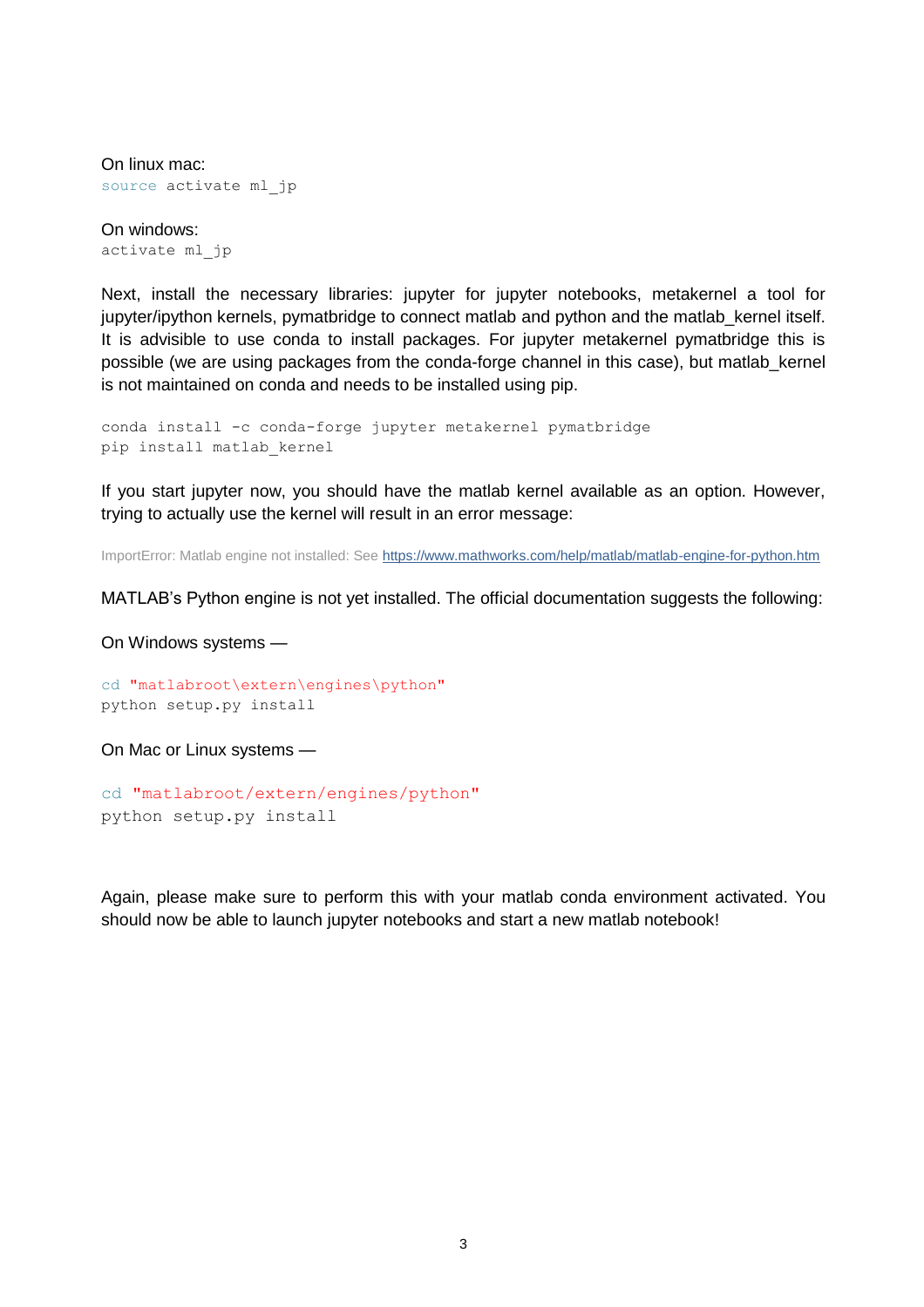On linux mac: source activate ml jp

On windows: activate ml\_jp

Next, install the necessary libraries: jupyter for jupyter notebooks, metakernel a tool for jupyter/ipython kernels, pymatbridge to connect matlab and python and the matlab kernel itself. It is advisible to use conda to install packages. For jupyter metakernel pymatbridge this is possible (we are using packages from the conda-forge channel in this case), but matlab\_kernel is not maintained on conda and needs to be installed using pip.

```
conda install -c conda-forge jupyter metakernel pymatbridge
pip install matlab_kernel
```
If you start jupyter now, you should have the matlab kernel available as an option. However, trying to actually use the kernel will result in an error message:

ImportError: Matlab engine not installed: See<https://www.mathworks.com/help/matlab/matlab-engine-for-python.htm>

MATLAB's Python engine is not yet installed. The official documentation suggests the following:

On Windows systems —

cd "matlabroot\extern\engines\python" python setup.py install

On Mac or Linux systems —

cd "matlabroot/extern/engines/python" python setup.py install

Again, please make sure to perform this with your matlab conda environment activated. You should now be able to launch jupyter notebooks and start a new matlab notebook!